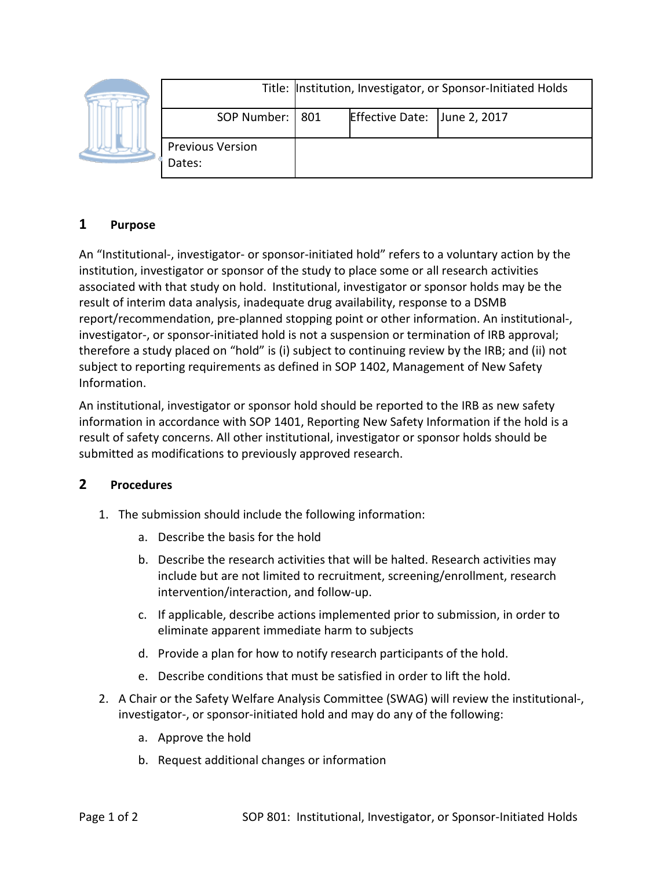|  |                                   | Title: Institution, Investigator, or Sponsor-Initiated Holds |                              |  |
|--|-----------------------------------|--------------------------------------------------------------|------------------------------|--|
|  | SOP Number:   801                 |                                                              | Effective Date: June 2, 2017 |  |
|  | <b>Previous Version</b><br>Dates: |                                                              |                              |  |

## **1 Purpose**

An "Institutional-, investigator- or sponsor-initiated hold" refers to a voluntary action by the institution, investigator or sponsor of the study to place some or all research activities associated with that study on hold. Institutional, investigator or sponsor holds may be the result of interim data analysis, inadequate drug availability, response to a DSMB report/recommendation, pre-planned stopping point or other information. An institutional-, investigator-, or sponsor-initiated hold is not a suspension or termination of IRB approval; therefore a study placed on "hold" is (i) subject to continuing review by the IRB; and (ii) not subject to reporting requirements as defined in SOP 1402, Management of New Safety Information.

An institutional, investigator or sponsor hold should be reported to the IRB as new safety information in accordance with SOP 1401, Reporting New Safety Information if the hold is a result of safety concerns. All other institutional, investigator or sponsor holds should be submitted as modifications to previously approved research.

## **2 Procedures**

- 1. The submission should include the following information:
	- a. Describe the basis for the hold
	- b. Describe the research activities that will be halted. Research activities may include but are not limited to recruitment, screening/enrollment, research intervention/interaction, and follow-up.
	- c. If applicable, describe actions implemented prior to submission, in order to eliminate apparent immediate harm to subjects
	- d. Provide a plan for how to notify research participants of the hold.
	- e. Describe conditions that must be satisfied in order to lift the hold.
- 2. A Chair or the Safety Welfare Analysis Committee (SWAG) will review the institutional-, investigator-, or sponsor-initiated hold and may do any of the following:
	- a. Approve the hold
	- b. Request additional changes or information